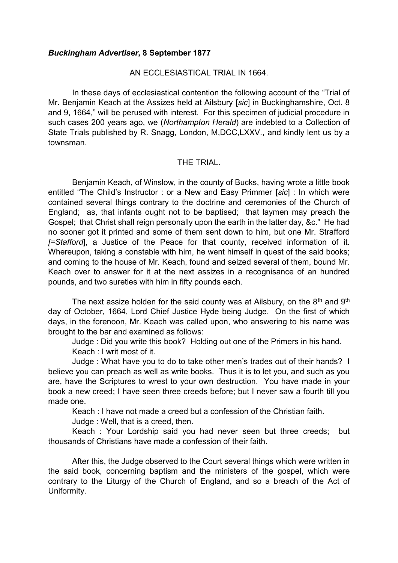## *Buckingham Advertiser***, 8 September 1877**

## AN ECCLESIASTICAL TRIAL IN 1664.

In these days of ecclesiastical contention the following account of the "Trial of Mr. Benjamin Keach at the Assizes held at Ailsbury [*sic*] in Buckinghamshire, Oct. 8 and 9, 1664," will be perused with interest. For this specimen of judicial procedure in such cases 200 years ago, we (*Northampton Herald*) are indebted to a Collection of State Trials published by R. Snagg, London, M,DCC,LXXV., and kindly lent us by a townsman.

## THE TRIAL.

Benjamin Keach, of Winslow, in the county of Bucks, having wrote a little book entitled "The Child's Instructor : or a New and Easy Primmer [*sic*] : In which were contained several things contrary to the doctrine and ceremonies of the Church of England; as, that infants ought not to be baptised; that laymen may preach the Gospel; that Christ shall reign personally upon the earth in the latter day, &c." He had no sooner got it printed and some of them sent down to him, but one Mr. Strafford *[=Stafford*], a Justice of the Peace for that county, received information of it. Whereupon, taking a constable with him, he went himself in quest of the said books; and coming to the house of Mr. Keach, found and seized several of them, bound Mr. Keach over to answer for it at the next assizes in a recognisance of an hundred pounds, and two sureties with him in fifty pounds each.

The next assize holden for the said county was at Ailsbury, on the  $8<sup>th</sup>$  and  $9<sup>th</sup>$ day of October, 1664, Lord Chief Justice Hyde being Judge. On the first of which days, in the forenoon, Mr. Keach was called upon, who answering to his name was brought to the bar and examined as follows:

Judge : Did you write this book? Holding out one of the Primers in his hand.

Keach : I writ most of it.

Judge : What have you to do to take other men's trades out of their hands? I believe you can preach as well as write books. Thus it is to let you, and such as you are, have the Scriptures to wrest to your own destruction. You have made in your book a new creed; I have seen three creeds before; but I never saw a fourth till you made one.

Keach : I have not made a creed but a confession of the Christian faith.

Judge : Well, that is a creed, then.

Keach : Your Lordship said you had never seen but three creeds; but thousands of Christians have made a confession of their faith.

After this, the Judge observed to the Court several things which were written in the said book, concerning baptism and the ministers of the gospel, which were contrary to the Liturgy of the Church of England, and so a breach of the Act of Uniformity.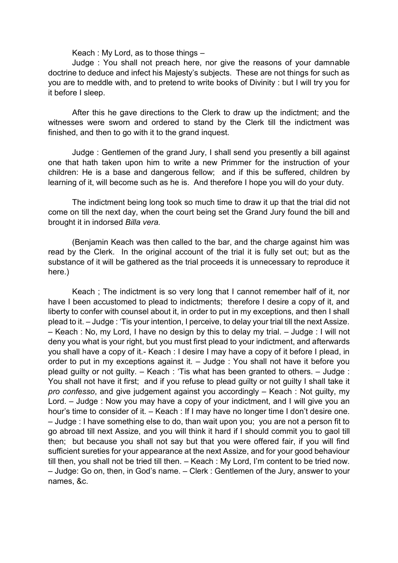Keach : My Lord, as to those things –

Judge : You shall not preach here, nor give the reasons of your damnable doctrine to deduce and infect his Majesty's subjects. These are not things for such as you are to meddle with, and to pretend to write books of Divinity : but I will try you for it before I sleep.

After this he gave directions to the Clerk to draw up the indictment; and the witnesses were sworn and ordered to stand by the Clerk till the indictment was finished, and then to go with it to the grand inquest.

Judge : Gentlemen of the grand Jury, I shall send you presently a bill against one that hath taken upon him to write a new Primmer for the instruction of your children: He is a base and dangerous fellow; and if this be suffered, children by learning of it, will become such as he is. And therefore I hope you will do your duty.

The indictment being long took so much time to draw it up that the trial did not come on till the next day, when the court being set the Grand Jury found the bill and brought it in indorsed *Billa vera.*

(Benjamin Keach was then called to the bar, and the charge against him was read by the Clerk. In the original account of the trial it is fully set out; but as the substance of it will be gathered as the trial proceeds it is unnecessary to reproduce it here.)

Keach ; The indictment is so very long that I cannot remember half of it, nor have I been accustomed to plead to indictments; therefore I desire a copy of it, and liberty to confer with counsel about it, in order to put in my exceptions, and then I shall plead to it. – Judge : 'Tis your intention, I perceive, to delay your trial till the next Assize. – Keach : No, my Lord, I have no design by this to delay my trial. – Judge : I will not deny you what is your right, but you must first plead to your indictment, and afterwards you shall have a copy of it.- Keach : I desire I may have a copy of it before I plead, in order to put in my exceptions against it. – Judge : You shall not have it before you plead guilty or not guilty. – Keach : 'Tis what has been granted to others. – Judge : You shall not have it first; and if you refuse to plead guilty or not guilty I shall take it *pro confesso*, and give judgement against you accordingly – Keach : Not guilty, my Lord. – Judge : Now you may have a copy of your indictment, and I will give you an hour's time to consider of it. – Keach : If I may have no longer time I don't desire one. – Judge : I have something else to do, than wait upon you; you are not a person fit to go abroad till next Assize, and you will think it hard if I should commit you to gaol till then; but because you shall not say but that you were offered fair, if you will find sufficient sureties for your appearance at the next Assize, and for your good behaviour till then, you shall not be tried till then. – Keach : My Lord, I'm content to be tried now. – Judge: Go on, then, in God's name. – Clerk : Gentlemen of the Jury, answer to your names, &c.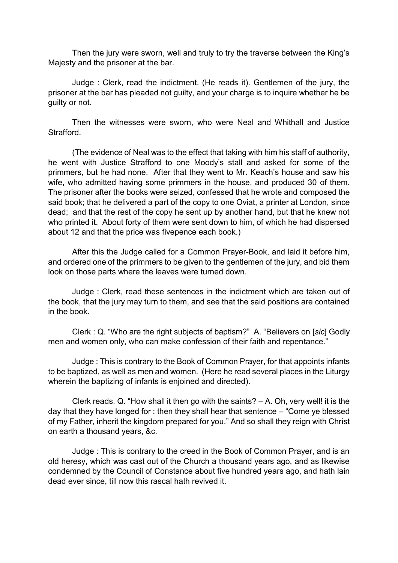Then the jury were sworn, well and truly to try the traverse between the King's Majesty and the prisoner at the bar.

Judge : Clerk, read the indictment. (He reads it). Gentlemen of the jury, the prisoner at the bar has pleaded not guilty, and your charge is to inquire whether he be guilty or not.

Then the witnesses were sworn, who were Neal and Whithall and Justice Strafford.

(The evidence of Neal was to the effect that taking with him his staff of authority, he went with Justice Strafford to one Moody's stall and asked for some of the primmers, but he had none. After that they went to Mr. Keach's house and saw his wife, who admitted having some primmers in the house, and produced 30 of them. The prisoner after the books were seized, confessed that he wrote and composed the said book; that he delivered a part of the copy to one Oviat, a printer at London, since dead; and that the rest of the copy he sent up by another hand, but that he knew not who printed it. About forty of them were sent down to him, of which he had dispersed about 12 and that the price was fivepence each book.)

After this the Judge called for a Common Prayer-Book, and laid it before him, and ordered one of the primmers to be given to the gentlemen of the jury, and bid them look on those parts where the leaves were turned down.

Judge : Clerk, read these sentences in the indictment which are taken out of the book, that the jury may turn to them, and see that the said positions are contained in the book.

Clerk : Q. "Who are the right subjects of baptism?" A. "Believers on [*sic*] Godly men and women only, who can make confession of their faith and repentance."

Judge : This is contrary to the Book of Common Prayer, for that appoints infants to be baptized, as well as men and women. (Here he read several places in the Liturgy wherein the baptizing of infants is enjoined and directed).

Clerk reads. Q. "How shall it then go with the saints? – A. Oh, very well! it is the day that they have longed for : then they shall hear that sentence – "Come ye blessed of my Father, inherit the kingdom prepared for you." And so shall they reign with Christ on earth a thousand years, &c.

Judge : This is contrary to the creed in the Book of Common Prayer, and is an old heresy, which was cast out of the Church a thousand years ago, and as likewise condemned by the Council of Constance about five hundred years ago, and hath lain dead ever since, till now this rascal hath revived it.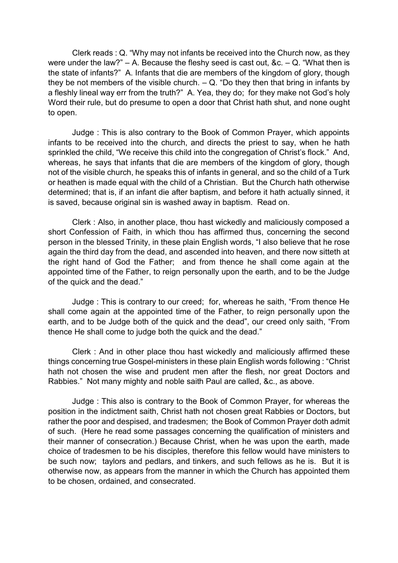Clerk reads : Q. "Why may not infants be received into the Church now, as they were under the law?"  $-$  A. Because the fleshy seed is cast out, &c.  $-$  Q. "What then is the state of infants?" A. Infants that die are members of the kingdom of glory, though they be not members of the visible church.  $- Q$ . "Do they then that bring in infants by a fleshly lineal way err from the truth?" A. Yea, they do; for they make not God's holy Word their rule, but do presume to open a door that Christ hath shut, and none ought to open.

Judge : This is also contrary to the Book of Common Prayer, which appoints infants to be received into the church, and directs the priest to say, when he hath sprinkled the child, "We receive this child into the congregation of Christ's flock." And, whereas, he says that infants that die are members of the kingdom of glory, though not of the visible church, he speaks this of infants in general, and so the child of a Turk or heathen is made equal with the child of a Christian. But the Church hath otherwise determined; that is, if an infant die after baptism, and before it hath actually sinned, it is saved, because original sin is washed away in baptism. Read on.

Clerk : Also, in another place, thou hast wickedly and maliciously composed a short Confession of Faith, in which thou has affirmed thus, concerning the second person in the blessed Trinity, in these plain English words, "I also believe that he rose again the third day from the dead, and ascended into heaven, and there now sitteth at the right hand of God the Father; and from thence he shall come again at the appointed time of the Father, to reign personally upon the earth, and to be the Judge of the quick and the dead."

Judge : This is contrary to our creed; for, whereas he saith, "From thence He shall come again at the appointed time of the Father, to reign personally upon the earth, and to be Judge both of the quick and the dead", our creed only saith, "From thence He shall come to judge both the quick and the dead."

Clerk : And in other place thou hast wickedly and maliciously affirmed these things concerning true Gospel-ministers in these plain English words following : "Christ hath not chosen the wise and prudent men after the flesh, nor great Doctors and Rabbies." Not many mighty and noble saith Paul are called, &c., as above.

Judge : This also is contrary to the Book of Common Prayer, for whereas the position in the indictment saith, Christ hath not chosen great Rabbies or Doctors, but rather the poor and despised, and tradesmen; the Book of Common Prayer doth admit of such. (Here he read some passages concerning the qualification of ministers and their manner of consecration.) Because Christ, when he was upon the earth, made choice of tradesmen to be his disciples, therefore this fellow would have ministers to be such now; taylors and pedlars, and tinkers, and such fellows as he is. But it is otherwise now, as appears from the manner in which the Church has appointed them to be chosen, ordained, and consecrated.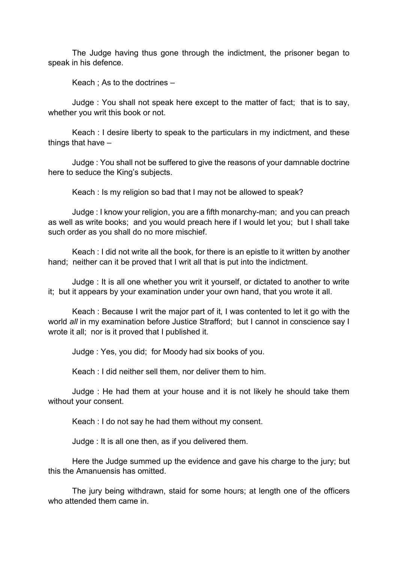The Judge having thus gone through the indictment, the prisoner began to speak in his defence.

Keach ; As to the doctrines –

Judge : You shall not speak here except to the matter of fact; that is to say, whether you writ this book or not.

Keach : I desire liberty to speak to the particulars in my indictment, and these things that have –

Judge : You shall not be suffered to give the reasons of your damnable doctrine here to seduce the King's subjects.

Keach : Is my religion so bad that I may not be allowed to speak?

Judge : I know your religion, you are a fifth monarchy-man; and you can preach as well as write books; and you would preach here if I would let you; but I shall take such order as you shall do no more mischief.

Keach : I did not write all the book, for there is an epistle to it written by another hand; neither can it be proved that I writ all that is put into the indictment.

Judge : It is all one whether you writ it yourself, or dictated to another to write it; but it appears by your examination under your own hand, that you wrote it all.

Keach : Because I writ the major part of it, I was contented to let it go with the world *all* in my examination before Justice Strafford; but I cannot in conscience say I wrote it all; nor is it proved that I published it.

Judge : Yes, you did; for Moody had six books of you.

Keach : I did neither sell them, nor deliver them to him.

Judge : He had them at your house and it is not likely he should take them without your consent.

Keach : I do not say he had them without my consent.

Judge : It is all one then, as if you delivered them.

Here the Judge summed up the evidence and gave his charge to the jury; but this the Amanuensis has omitted.

The jury being withdrawn, staid for some hours; at length one of the officers who attended them came in.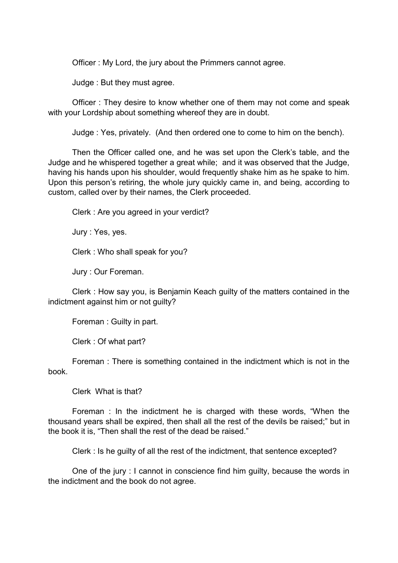Officer : My Lord, the jury about the Primmers cannot agree.

Judge : But they must agree.

Officer : They desire to know whether one of them may not come and speak with your Lordship about something whereof they are in doubt.

Judge : Yes, privately. (And then ordered one to come to him on the bench).

Then the Officer called one, and he was set upon the Clerk's table, and the Judge and he whispered together a great while; and it was observed that the Judge, having his hands upon his shoulder, would frequently shake him as he spake to him. Upon this person's retiring, the whole jury quickly came in, and being, according to custom, called over by their names, the Clerk proceeded.

Clerk : Are you agreed in your verdict?

Jury : Yes, yes.

Clerk : Who shall speak for you?

Jury : Our Foreman.

Clerk : How say you, is Benjamin Keach guilty of the matters contained in the indictment against him or not guilty?

Foreman : Guilty in part.

Clerk : Of what part?

Foreman : There is something contained in the indictment which is not in the book.

Clerk What is that?

Foreman : In the indictment he is charged with these words, "When the thousand years shall be expired, then shall all the rest of the devils be raised;" but in the book it is, "Then shall the rest of the dead be raised."

Clerk : Is he guilty of all the rest of the indictment, that sentence excepted?

One of the jury : I cannot in conscience find him guilty, because the words in the indictment and the book do not agree.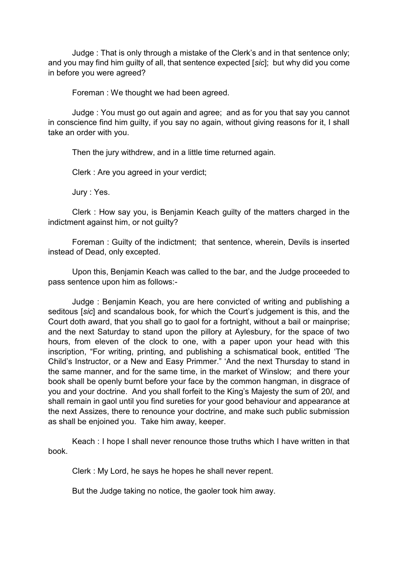Judge : That is only through a mistake of the Clerk's and in that sentence only; and you may find him guilty of all, that sentence expected [*sic*]; but why did you come in before you were agreed?

Foreman : We thought we had been agreed.

Judge : You must go out again and agree; and as for you that say you cannot in conscience find him guilty, if you say no again, without giving reasons for it, I shall take an order with you.

Then the jury withdrew, and in a little time returned again.

Clerk : Are you agreed in your verdict;

Jury : Yes.

Clerk : How say you, is Benjamin Keach guilty of the matters charged in the indictment against him, or not guilty?

Foreman : Guilty of the indictment; that sentence, wherein, Devils is inserted instead of Dead, only excepted.

Upon this, Benjamin Keach was called to the bar, and the Judge proceeded to pass sentence upon him as follows:-

Judge : Benjamin Keach, you are here convicted of writing and publishing a seditous [*sic*] and scandalous book, for which the Court's judgement is this, and the Court doth award, that you shall go to gaol for a fortnight, without a bail or mainprise; and the next Saturday to stand upon the pillory at Aylesbury, for the space of two hours, from eleven of the clock to one, with a paper upon your head with this inscription, "For writing, printing, and publishing a schismatical book, entitled 'The Child's Instructor, or a New and Easy Primmer." 'And the next Thursday to stand in the same manner, and for the same time, in the market of Winslow; and there your book shall be openly burnt before your face by the common hangman, in disgrace of you and your doctrine. And you shall forfeit to the King's Majesty the sum of 20*l*, and shall remain in gaol until you find sureties for your good behaviour and appearance at the next Assizes, there to renounce your doctrine, and make such public submission as shall be enjoined you. Take him away, keeper.

Keach : I hope I shall never renounce those truths which I have written in that book.

Clerk : My Lord, he says he hopes he shall never repent.

But the Judge taking no notice, the gaoler took him away.